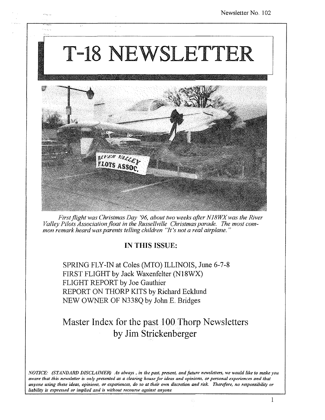# T-18 NEWSLETTER



*First flight was Christmas Day '96, about two weeks after NI8WX was the River Valley Pilots Association jloat in the Russellville Christmas parade< The most common remark heard was parents telling children "It's not a real airplane< "* 

### IN THIS ISSUE:

SPRING FLY-IN at Coles (MTO) ILLINOIS, June 6-7-S FIRST FLIGHT by Jack Waxenfelter (NlSWX) FLIGHT REPORT by Joe Gauthier REPORT ON THORP KITS by Richard Ecklund NEW OWNER OF N33SQ by John E Bridges

## Master Index for the past 100 Thorp Newsletters by Jim Stricken berger

*NOTICE: (STANDARD DISCLAIMER) As always, in the past, present, and future newsletters, we would like to make you aware that this newsletter is only presented as a clearing house for ideas and opinions, or personal experiences and that anyone using these ideas, opinions, or experiences, do so at their own discretion and risk. Therefore, no responsibility or liability is expressed or implied and is without recourse against anyone.*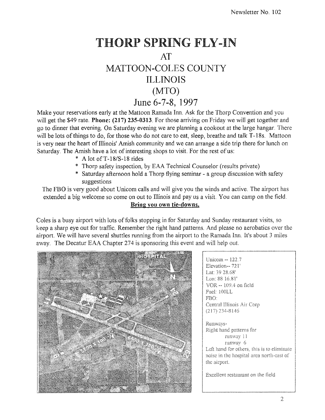# **THORP SPRING FLY-IN AT MATTOON·COLES COUNTY ILLINOIS (MTO) June 6-7-8, 1997**

Make your reservations early at the Mattoon Ramada Inn. Ask for the Thorp Convention and you will get the \$49 rate. **Phone: (217) 235-0313**. For those arriving on Friday we will get together and go to dinner that evening. On Saturday evening we are planning a cookout at the large hangar. There will be lots of things to do, for those who do not care to eat, sleep, breathe and talk T-18s. Mattoon is very near the heart of Illinois' Amish community and we can arrange a side trip there for lunch on Saturday. The Amish have a lot of interesting shops to visit. For the rest of us:

- \* A lot ofT-I8/S-I8 rides
- \* Thorp safety inspection, by EAA Technical Counselor (results private)
- \* Saturday afternoon hold a Thorp flying seminar a group discussion with safety suggestions

The FBO is very good about Unicom calls and will give you the winds and active. The airport has extended a big welcome so come on out to Illinois and pay us a visit. You can camp on the field. **Bring you own tie-downs.** 

Coles is a busy airport with lots of folks stopping in for Saturday and Sunday restaurant visits, so keep a sharp eye out for traffic. Remember the right hand patterns. And please no aerobatics over the airport. We will have several shuttles running from the airport to the Ramada Inn. It's about 3 miles away. The Decatur EAA Chapter 274 is sponsoring this event and will help out.



Unicom -- 122.7 Elevation--721' Lat: 39 28.68' Lon: 88 16.81' VOR -~ 109.4 on field Fuel: IOOLL FEO: Central Illinois Air  $(217)$  234-8146 Runways-Right hand patterns for mmvay 1 runway 6 Left hand for others, this is to eliminate noise in the hospital area north-east of the airport. Excellent restaurant on the field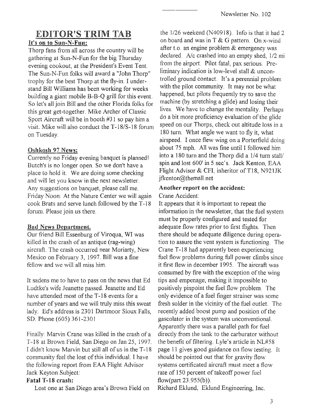# EDITOR'S TRIM TAB

### It's on to Sun-N-Fun:

Thorp fans from all across the country will be gathering at Sun-N-Fun for the big Thursday evening cookout, at the President's Event Tent The Sun-N-Fun folks will award a "John Thorp" trophy for the best Thorp at the fly-in. I understand Bill Williams has been working for weeks building a giant mobile B-B-Q grill for this event. So let's all join Bill and the other Florida folks for this great get-together. Mike Archer of Classic Sport Aircraft will be in booth #31 so pay him a visit. Mike will also conduct the T -IS/S-18 forum on Tuesday.

### Oshkosh 97 News:

Currently no Friday evening banquet is planned! Butch's is no longer open. So we don't have a place to hold it. We are doing some checking and will let you know in the next newsletter. Any suggestions on banquet, please call me. Friday Noon: At the Nature Center we will again cook Brats and serve lunch followed by the T -18 forum. Please join us there.

### Bad News Department.

Our friend Bill Essenburg of Viroqua, WI was killed in the crash of an antique (rag-wing) aircraft. The crash occurred near Moriarty, New Mexico on February 3, 1997. Bill was a fine fellow and we will all miss him.

It sadens me to have to pass on the news that Ed Ludtke's wife Jeanette passed. Jeanette and Ed have attended most of the T-18 events for a number of years and we will truly miss this sweat lady. Ed's address is 2301 Dartmoor Sioux Falls, SD. Phone (605) 361-2301

Finally: Marvin Crane was killed in the crash of a 18 at Brown Field, San Diego on Jan 25, 1997. I didn't know Marvin but still all of us in the T -18 community feel the lost of this individual. I have the following report from EAA Flight Advisor Jack Keyton Subject:

### Fatal T-18 crash:

Lost one at San Diego area's Brown Field on

the  $1/26$  weekend (N40918). Info is that it had 2 on board and was in T & G pattern. On x-wind after t.o. an engine problem & emergency was declared. A/c crashed into an empty shed,  $1/2$  mi from the airport. Pilot fatal, pax serious. Preliminary indication is low-level stall & uncontrolled ground contact. It's a perennial problem with the pilot community. It may not be what happened, but pilots frequently try to save the machine (by stretching a glide) and losing their lives. We have to change the mentality. Perhaps do a bit more proficiency evaluation of the glide speed on our Thorps, check out altitude loss in a 180 turn. What angle we want to fly it, what airspeed. I once flew wing on a Porterfield doing about 75 mph. All was fine until I followed him into a 180 turn and the Thorp did a 1/4 turn stall/ spin and lost 600' in 5 sec's. Jack Kenton, EAA Flight Advisor & CFI, inheritor of T18, N921JK jfkenton@themall.net

# Another report on the accident:

Crane Accident:

It appears that it is important to repeat the information in the newsletter, that the fuel system must be properly configured and tested for adequate flow rates prior to first flights. Then there should be adequate diligence during operation to assure the vent system is functioning. The Crane T-18 had apparently been experiencing fuel flow problems during full power climbs since it first flew in december 1995. The aircraft was consumed by fire with the exception of the wing tips and empenage, making it impossible to positively pinpoint the fuel flow problem. The only evidence of a fuel finger strainer was some fresh solder in the vicinity of the fuel outlet. The recently added boost pump and position of the gascolator in the system was unconventional. Apparently there was a parallel path for fuel directly from the tank to the carburator without the benefit of filtering. Lyle's article in NL#58 page 11 gives good guidance on flow testing. It should be pointed out that for gravity flow systems certificated aircraft must meet a flow rate of 150 percent of takeoff power fuel flow(part  $23.955(b)$ ).

Richard Eklund, Eklund Engineering, Inc.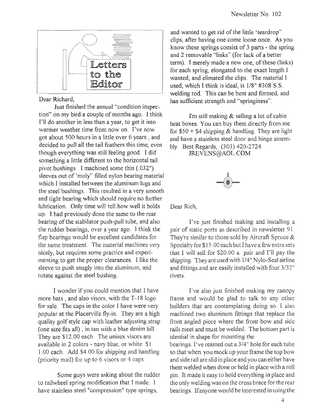

#### Dear Richard,

Just finished the annual "condition inspection" on my bird a couple of months ago, I think I'll do another in less than a year, to get it into warmer weather time from now on. I've now got about 500 hours in a little over 6 years, and decided to pull all the tail feathers this time, even though everything was still feeling good, I did something a little different to the horizontal tail pivot bushings. I machined some thin  $(.032")$ sleeves out of 'moly" filled nylon bearing material which I installed hetween the aluminum lugs and the steel bushings, This resulted in a very smooth and tight bearing which should require no further lubrication, Only time will tell how well it holds up, I had previously done the same to the rear hearing of the stabilator push-pull tube, and also the rudder bearings, over a year ago, I think the flap bearings would be excellent candidates for the same treatment. The material machines very nicely, but requires some practice and experimenting to get the proper clearances, I like the sleeve to push snugly into the aluminum, and rotate against the steel bushing,

I wonder if you could mention that I have more hats, and also visors, with the T-18 logo for sale, The caps in the color I have were very popular at the Placerville fly-in, They are a high quality golf style cap with leather adjusting strap (one size fits all) , in tan with a blue denim bill, They are \$12,00 each, The unisex visors are available in 2 colors - navy blue, or white, \$1 1.00 each. Add \$4.00 for shipping and handling (priority mail) for up to 6 visors or 4 caps,

Some guys were asking about the rudder to tailwheel spring modification that I made, I have stainless steel "compression" type springs,

and wanted to get rid of the little 'teardrop" clips, after having one come loose once, As you know these springs consist of 3 parts - the spring and 2 removable "links" (for lack of a better term), I merely made a new one, of these (links) for each spring, elongated to the exact length I wanted, and elimated the clips, The material I used, which I think is ideal, is 1/8" #308 S.S welding rod, This can be bent and formed, and has sufficient strength and "springiness".

I'm still making & selling a lot of cabin heat boxes, You can buy them directly from me for  $$50 + $4$  shipping & handling. They are light and have a stainless steel door and hinge assembly. Best Regards, (303) 420-2724

JREVENS@AOL.COM



Dear Rich,

I've just finished making and installing a pair of static ports as described in newsletter 91. They're similar to those sold by Aircraft Spruce & Specialty for \$15.00 each but I have a few extra sets that I will sell for \$20 00 a pair and I'll pay the shipping, They are used with 1/4" Nylo-Sealairline and fittings and are easily installed with four 3/32" rivets,

I've also just finished making my canopy frame and would be glad to talk to any other builders that are contemplating doing so, I also machined two aluminum fittings that replace the front angled piece where the front bow and side rails meet and must be welded, The bottom part is idential in shape for mounting the bearings, I've reamed out a 3/4" hole for each tube so that when you mock up your frame the top bow and side rail are slid in place and you can either have them welded when done or held in place with a roll pin, It made it easy to hold everything in place and the only welding was on the cross brace for the rear bearings, If anyone would be interested in using the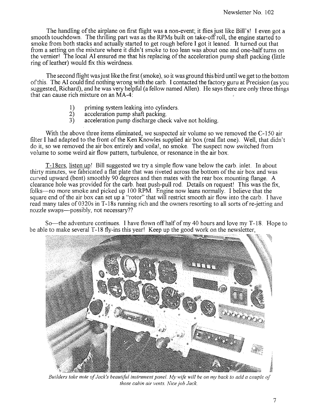The handling of the airplane on first flight was a non-event; it flies just like Bill's! I even got a smooth touchdown. The thrilling part was as the RPMs built on take-off roll, the engine started to smoke from both stacks and actually started to get rough before I got it leaned. It turned out that from a setting on the mixture where it didn't smoke to too lean was about one and one-half turns on the vernier! The local AI ensured me that his replacing of the acceleration pump shaft packing (little ring of leather) would fix this weirdness.

The second flight was just like the first ( smoke), so it was ground this bird until we get to the bottom of this. The AI could find nothing wrong with the carb. I contacted the factory guru at Precision (as you suggested, Richard), and he was very helpful (a fellow named Allen). He says there are only three things that can cause rich mixture on an MA-4:

- 1) priming system leaking into cylinders.<br>2) acceleration pump shaft packing.
- 2) acceleration pump shaft packing.<br>3) acceleration pump discharge chec
- acceleration pump discharge check valve not holding.

With the above three items eliminated, we suspected air volume so we removed the C-ISO air filter I had adapted to the front of the Ken Knowles supplied air box (real flat one). Well, that didn't do it, so we removed the air box entirely and voila!, no smoke. The suspect now switched from volume to some weird air flow pattern, turbulence, or resonance in the air box.

T-18ers, listen up! Bill suggested we try a simple flow vane below the carb. inlet. In about thirty minutes, we fabricated a flat plate that was riveted across the bottom of the air box and was curved upward (bent) smoothly 90 degrees and then mates with the rear box mounting flange. A clearance hole was provided for the carb. heat push-pull rod. Details on request! This was the fix, folks-no more smoke and picked up 100 RPM. Engine now leans normally. I believe that the square end of the air box can set up a "rotor" that will restrict smooth air flow into the carb. I have read many tales of 0320s in T-18s running rich and the owners resorting to all sorts of re-jetting and nozzle swaps-possibly, not necessary??

So-the adventure continues. I have flown off half of my 40 hours and love my T-18. Hope to be able to make several T -18 fly-ins this year! Keep up the good work on the newsletter,



*Builders take note of Jack's beautiful instrument panel. My Wife will be on my back to add a couple of those cabin air vents. Nice job Jack*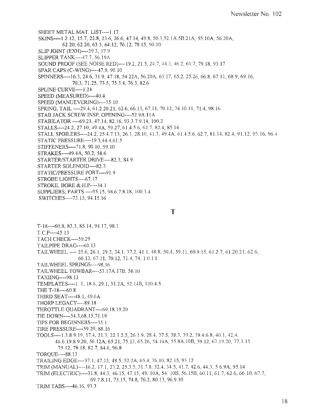SHEET METAL MAT. LIST---1.17 SKINS----U.12, *15.7,22.8,23.6,26.6,47.14,49.8,* 50.3,S2.1A5B.21A, 55. lOA, 56.20A, 62.20,62.20,63.3,64.12,76.12,7815,90.10 SLIP JOINT (EXH)----29.3, 37.9 SLIPPER TANK----47.7, 56.19A SOUND PROOF (SEE NOISE RED)----192, 215, 24.7, 46.2,617,79.18,93.17 SPAR CAPS (C-WING)----47.9. 90.10 SPINNERS----16.3, 24.6, 31.9, 47.18, 54.22A, 56.20A, 63.17, 65.2, 25.26, 66.8, 67.11, 68.9, 69.16, 70.3,71.25,73.5,75.3.4,76.3,82.6 SPLINE CURVE----1.24 SPEED (MEASURED)----40.4 SPEED (MANUEVERING)----3510 SPRING, TAIL ---- 29.4, 61.2.20.21, 62.6, 66.13, 67.11, 70.12, 74.10.11, 71.4, 98.16 STAB JACK SCREW INSP. OPENING---- 52.9A.11A ST ABILA TOR ----69.23, 47.14, 82.16, 93.3.7.9.14, 100.2 STALLS----24.2, 27.10, 49.4A, 59.27, 61.4.5.6, 62.7. 85.14 STALL SPOILERS----24.2, 25.4.7.13, 26.1. 2810. 4L3. 49.4A. 61.4.5.6. 62.7, 8114. 82.4, 9Ll2, 93.16,96.4 STATIC PRESSURE----19.3,44.4,6L5 STIFFENERS----71.8, 90.10, 99.10 STRAKES----49.4A, 50.2, 58.6 STARTER/STARTER DRIVE----82.3, 84.9 STARTER SOLENOID----82.3 STATIC/PRESSURE PORT----91.9 STROBE LIGHTS----67.17 STROKE, BORE & HP----34. I SUPPLIERS, PARTS ---- 95.15, 98.6.7.8.18, 100.3.4 SWITCHES----73. *is,* 94.15.16

#### T

T-18----60.8, 83.3, 85.14, 94.17, 98.1 T.C.P----45.13 TACH CHECK----59.29 TAILPIPE DRAG----60.13 TAIL WHEEL ---- 25.6, 26.1. 29.2, 34.1, 37.2, 41.1, 48.8, 50.4\_ 59.1I, 60.9.15,612.7,61.20.2],626, 66.13, 67.11, 70.12, 71.4, 74.10.1 I TAILWHEEL SPRINGS----98.16 TAILWHEEL TOWBAR----53.17A.17B, 58.10 T AXlING----98.11 TEMPLATES----1. 1, 18.6, 29.1, 51.2A, 52.14B, 100.4.5 THE T-1S----60.8 THIRD SEAT----48.I, 49.6A THORP LEGACY----89.1S THROTTLE QUADRANT----69.18.19.20 TIE DOWN----34.3,68.15,7Ll9 TIPS FOR BEGINNERS----35.l TIRE PRESSURE----59.20, 88.16 TOOLS----1.3.8.9.19, 17.4, 21.3, 22.1.2.5, 26.1.9, 28.4, 37.5, 38.3, 39.2, 39.4.6.8, 40.1, 42.4, 46.6.19.8.9.20, 56.12A, 65.21, 75.13\_ 65.26, 54.14A, 55.8A.IOB, 59. 67.19.20,77.3.15 75.12,78.18,827,84.6,96.8 TORQUE----88.13 TRAILING EDGE---- 37.1, 47.13, 48.5, 52.2A, 65.4, 76.10, 82.15, 93.12 TRIM (MANUAL)----16.2, 17.1,23.2, 317.8.32.4,34.5,417.42.6,44.3,5 6.9A, 95.14 TRIM (ELECTRIC)----31.8, 44.3, 46.15,47.15,49. lOA, 54. lOB, 56.15B, 60.11,617,62.6,66.10.67.7, 69.7.8.11, 73.15, 74.8, 76.2, 80.13, 96.9.10

TRlMTABS----46.16, 93.3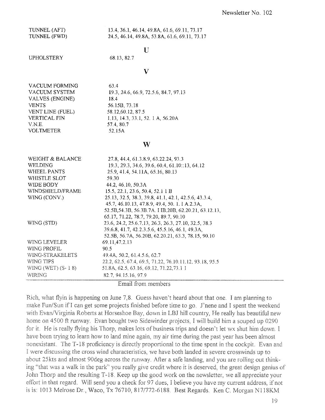TUNNEL (AFT) TUNNEL (FWD) 13.4,36.1,46.14, 49.8A, 61.6, 69.ll, 73.17 24.5,46.14, 49.8A, 53.8A, 61.6, 69.ll, 73.17

### $\bf{U}$

UPHOLSTERY

### 68.13,82.7

#### v

| VACUUM FORMING      |  |
|---------------------|--|
| VACUUM SYSTEM       |  |
| VALVES (ENGINE)     |  |
| <b>VENTS</b>        |  |
| VENT LINE (FUEL)    |  |
| <b>VERTICAL FIN</b> |  |
| VNE.                |  |
| <b>VOLTMETER</b>    |  |

63.4 19.3,24.6,66.9,72.5.6,84.7,97.13 18.4 56.15B, 73.18 58.12,60.12,87.5 1.13, 14.3,33.1,52. I A, 56.20A 57.4,80.7 52.15A

#### w

| WEIGHT & BALANCE       | 27.8, 44.4, 61.3.8.9, 63.22.24, 93.3                    |
|------------------------|---------------------------------------------------------|
| <b>WELDING</b>         | 19.3, 29.3, 34.6, 39.6, 60.4, 61.10::13, 64.12          |
| WHEEL PANTS            | 25.9, 41.4, 54.11A, 65.16, 80.13                        |
| WHISTLE SLOT           | 59.30                                                   |
| WIDE BODY              | 44.2, 46.10, 50.3A                                      |
| WINDSHIELD/FRAME       | 15.5, 22.1, 23.6, 50.4, 52.1 1 B                        |
| WING (CONV.)           | 25.13, 32.5, 38.3, 39.8, 41.1, 42.1, 42.5.6, 43.3.4,    |
|                        | 45.7, 46.10.13, 47.8.9, 49.4, 50.1.1 A.2.3A,            |
|                        | 52.5B, 54.3B, 56.3B. 7A. I IB. 20B, 62.20.21, 63.12.13. |
|                        | 65.17, 71.22, 78.7, 79.20, 89.7, 90.10                  |
| WING (STD)             | 23.6, 24.2, 25.6.7.13, 26.3, 26.3, 27.10, 32.5, 38.3    |
|                        | 39.6.8, 41.7, 42.2.3.5.6, 45.5.16, 46.1, 49.3A,         |
|                        | 52.5B, 56.7A, 56.20B, 62.20.21, 63.3, 78.15, 90.10      |
| <b>WING LEVELER</b>    | 69.11,47.2.13                                           |
| WING PROFIL            | 90.5                                                    |
| <b>WING-STRAKELETS</b> | 49.4A, 50.2, 61.4.5.6, 62.7                             |
| WING TIPS              | 22.2, 62.5, 67.4, 69.5, 71.22, 76.10.11.12, 93.18, 95.5 |
| WING (WET) (S- 1 8)    | 51.8A, 62.5, 63.16, 69.12, 71.22.73.1 1                 |
| WIRING                 | 82.7, 94.15.16, 97.9                                    |

Email from members

Rich, what flyin is happening on June 7,8. Guess haven't heard about that one. I am planning to make Fun/Sun if I can get some projects finished before time to go. J'nene and I spent the weekend with Evan/Virginia Roberts at Horseshoe Bay, down in LBJ hill country, He really has beautiful new home on 4500 ft runway. Evan bought two Sidewinder projects, I will build him a souped up 0290 for it. He is really flying his Thorp, makes lots of business trips and doesn't let wx shut him down. I have been trying to learn how to land mine again, my air time during the past year has been almost nonexistant. The T-18 proficiency is directly proportional to the time spent in the cockpit. Evan and I were discussing the cross wind characteristics, we have both landed in severe crosswinds up to about 25kts and almost 90deg across the runway. After a safe landing, and you are rolling out thinking "that was a walk in the park" you really give credit where it is deserved, the great design genius of John Thorp and the resulting T-18. Keep up the good work on the newsletter, we all appreciate your effort in that regard. Will send you a check for 97 dues, I believe you have my current address, if not is is: 1013 Melrose Dr., Waco, Tx 76710, 817/772-6188. Best Regards. Ken C. Morgan N118KM